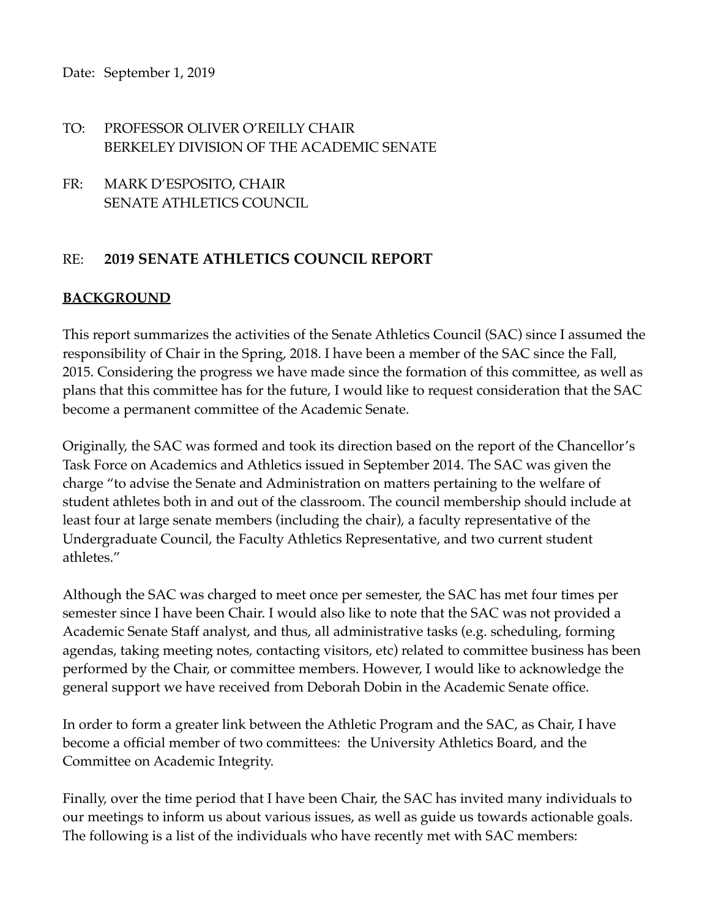## TO: PROFESSOR OLIVER O'REILLY CHAIR BERKELEY DIVISION OF THE ACADEMIC SENATE

FR: MARK D'ESPOSITO, CHAIR SENATE ATHLETICS COUNCIL

# RE: **2019 SENATE ATHLETICS COUNCIL REPORT**

### **BACKGROUND**

This report summarizes the activities of the Senate Athletics Council (SAC) since I assumed the responsibility of Chair in the Spring, 2018. I have been a member of the SAC since the Fall, 2015. Considering the progress we have made since the formation of this committee, as well as plans that this committee has for the future, I would like to request consideration that the SAC become a permanent committee of the Academic Senate.

Originally, the SAC was formed and took its direction based on the report of the Chancellor's Task Force on Academics and Athletics issued in September 2014. The SAC was given the charge "to advise the Senate and Administration on matters pertaining to the welfare of student athletes both in and out of the classroom. The council membership should include at least four at large senate members (including the chair), a faculty representative of the Undergraduate Council, the Faculty Athletics Representative, and two current student athletes."

Although the SAC was charged to meet once per semester, the SAC has met four times per semester since I have been Chair. I would also like to note that the SAC was not provided a Academic Senate Staff analyst, and thus, all administrative tasks (e.g. scheduling, forming agendas, taking meeting notes, contacting visitors, etc) related to committee business has been performed by the Chair, or committee members. However, I would like to acknowledge the general support we have received from Deborah Dobin in the Academic Senate office.

In order to form a greater link between the Athletic Program and the SAC, as Chair, I have become a official member of two committees: the University Athletics Board, and the Committee on Academic Integrity.

Finally, over the time period that I have been Chair, the SAC has invited many individuals to our meetings to inform us about various issues, as well as guide us towards actionable goals. The following is a list of the individuals who have recently met with SAC members: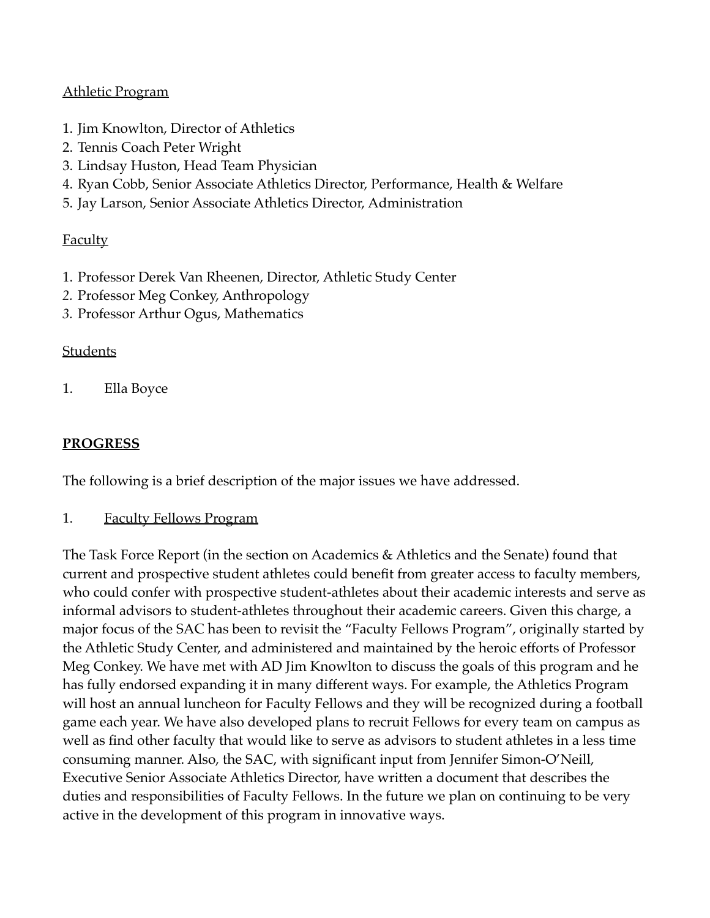### Athletic Program

- 1. Jim Knowlton, Director of Athletics
- 2. Tennis Coach Peter Wright
- 3. Lindsay Huston, Head Team Physician
- 4. Ryan Cobb, Senior Associate Athletics Director, Performance, Health & Welfare
- 5. Jay Larson, Senior Associate Athletics Director, Administration

#### **Faculty**

- 1. Professor Derek Van Rheenen, Director, Athletic Study Center
- *2.* Professor Meg Conkey, Anthropology
- *3.* Professor Arthur Ogus, Mathematics

#### **Students**

1. Ella Boyce

### **PROGRESS**

The following is a brief description of the major issues we have addressed.

1. Faculty Fellows Program

The Task Force Report (in the section on Academics & Athletics and the Senate) found that current and prospective student athletes could benefit from greater access to faculty members, who could confer with prospective student-athletes about their academic interests and serve as informal advisors to student-athletes throughout their academic careers. Given this charge, a major focus of the SAC has been to revisit the "Faculty Fellows Program", originally started by the Athletic Study Center, and administered and maintained by the heroic efforts of Professor Meg Conkey. We have met with AD Jim Knowlton to discuss the goals of this program and he has fully endorsed expanding it in many different ways. For example, the Athletics Program will host an annual luncheon for Faculty Fellows and they will be recognized during a football game each year. We have also developed plans to recruit Fellows for every team on campus as well as find other faculty that would like to serve as advisors to student athletes in a less time consuming manner. Also, the SAC, with significant input from Jennifer Simon-O'Neill, Executive Senior Associate Athletics Director, have written a document that describes the duties and responsibilities of Faculty Fellows. In the future we plan on continuing to be very active in the development of this program in innovative ways.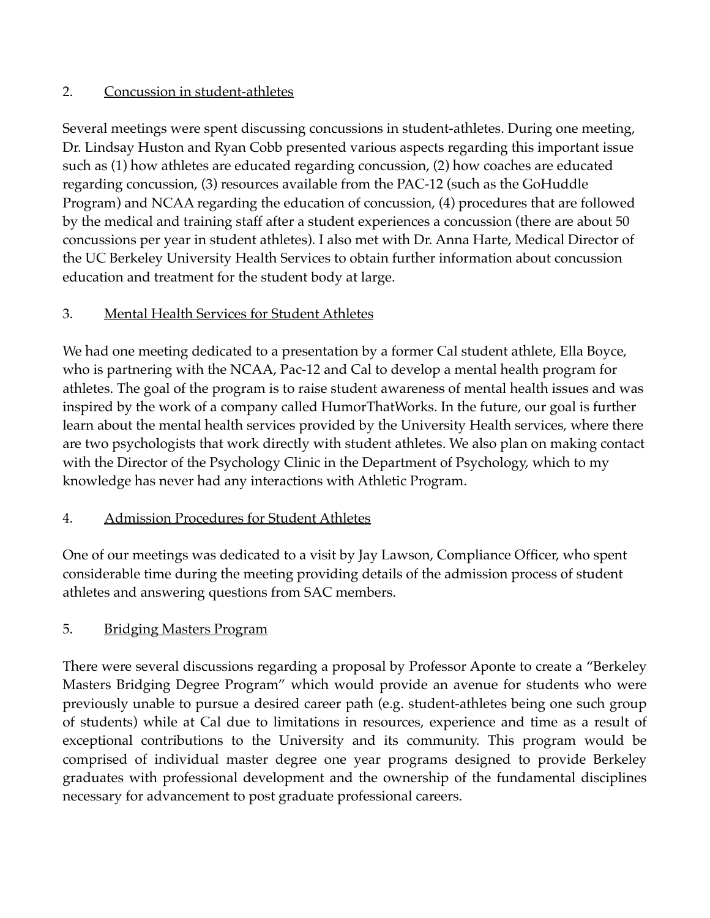## 2. Concussion in student-athletes

Several meetings were spent discussing concussions in student-athletes. During one meeting, Dr. Lindsay Huston and Ryan Cobb presented various aspects regarding this important issue such as (1) how athletes are educated regarding concussion, (2) how coaches are educated regarding concussion, (3) resources available from the PAC-12 (such as the GoHuddle Program) and NCAA regarding the education of concussion, (4) procedures that are followed by the medical and training staff after a student experiences a concussion (there are about 50 concussions per year in student athletes). I also met with Dr. Anna Harte, Medical Director of the UC Berkeley University Health Services to obtain further information about concussion education and treatment for the student body at large.

## 3. Mental Health Services for Student Athletes

We had one meeting dedicated to a presentation by a former Cal student athlete, Ella Boyce, who is partnering with the NCAA, Pac-12 and Cal to develop a mental health program for athletes. The goal of the program is to raise student awareness of mental health issues and was inspired by the work of a company called HumorThatWorks. In the future, our goal is further learn about the mental health services provided by the University Health services, where there are two psychologists that work directly with student athletes. We also plan on making contact with the Director of the Psychology Clinic in the Department of Psychology, which to my knowledge has never had any interactions with Athletic Program.

## 4. Admission Procedures for Student Athletes

One of our meetings was dedicated to a visit by Jay Lawson, Compliance Officer, who spent considerable time during the meeting providing details of the admission process of student athletes and answering questions from SAC members.

## 5. Bridging Masters Program

There were several discussions regarding a proposal by Professor Aponte to create a "Berkeley Masters Bridging Degree Program" which would provide an avenue for students who were previously unable to pursue a desired career path (e.g. student-athletes being one such group of students) while at Cal due to limitations in resources, experience and time as a result of exceptional contributions to the University and its community. This program would be comprised of individual master degree one year programs designed to provide Berkeley graduates with professional development and the ownership of the fundamental disciplines necessary for advancement to post graduate professional careers.